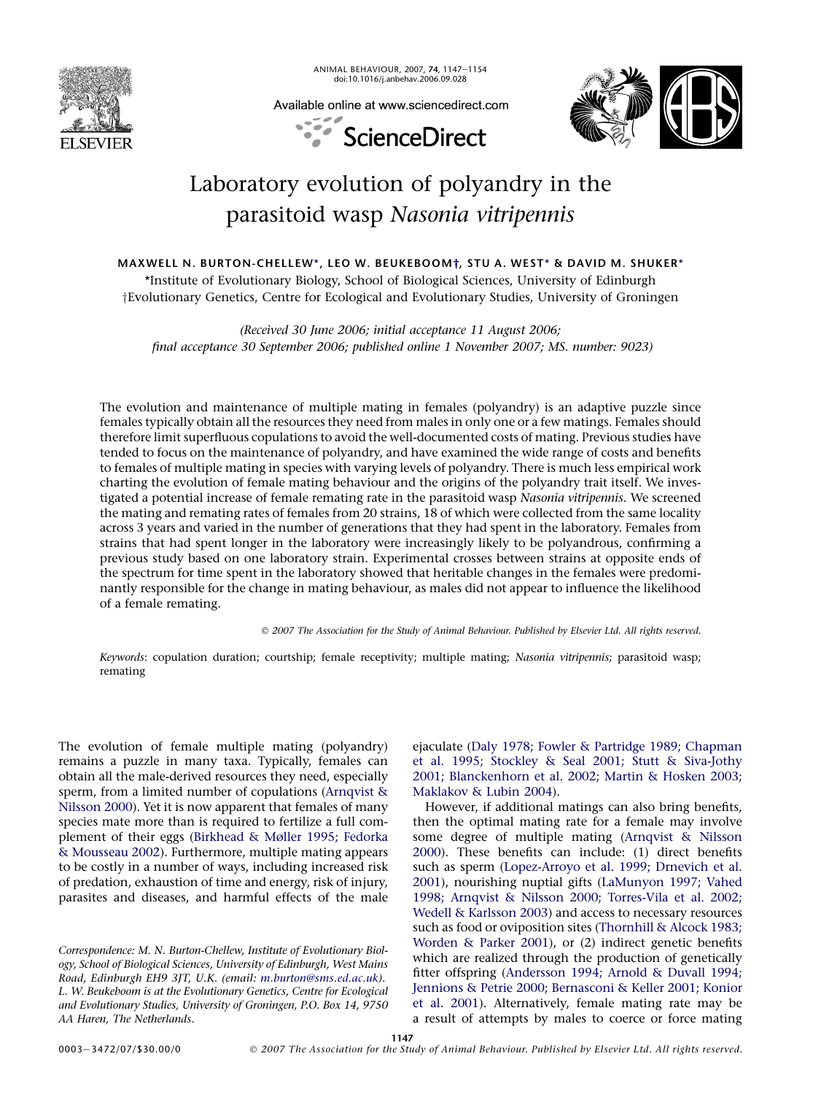

ANIMAL BEHAVIOUR, 2007, 74, 1147-1154 doi:10.1016/j.anbehav.2006.09.028







# Laboratory evolution of polyandry in the parasitoid wasp Nasonia vitripennis

MAXWELL N. BURTON-CHELLEW\*, LEO W. BEUKEBOOM†, STU A. WEST\* & DAVID M. SHUKER\* \*Institute of Evolutionary Biology, School of Biological Sciences, University of Edinburgh yEvolutionary Genetics, Centre for Ecological and Evolutionary Studies, University of Groningen

(Received 30 June 2006; initial acceptance 11 August 2006; final acceptance 30 September 2006; published online 1 November 2007; MS. number: 9023)

The evolution and maintenance of multiple mating in females (polyandry) is an adaptive puzzle since females typically obtain all the resources they need from males in only one or a few matings. Females should therefore limit superfluous copulations to avoid the well-documented costs of mating. Previous studies have tended to focus on the maintenance of polyandry, and have examined the wide range of costs and benefits to females of multiple mating in species with varying levels of polyandry. There is much less empirical work charting the evolution of female mating behaviour and the origins of the polyandry trait itself. We investigated a potential increase of female remating rate in the parasitoid wasp Nasonia vitripennis. We screened the mating and remating rates of females from 20 strains, 18 of which were collected from the same locality across 3 years and varied in the number of generations that they had spent in the laboratory. Females from strains that had spent longer in the laboratory were increasingly likely to be polyandrous, confirming a previous study based on one laboratory strain. Experimental crosses between strains at opposite ends of the spectrum for time spent in the laboratory showed that heritable changes in the females were predominantly responsible for the change in mating behaviour, as males did not appear to influence the likelihood of a female remating.

- 2007 The Association for the Study of Animal Behaviour. Published by Elsevier Ltd. All rights reserved.

Keywords: copulation duration; courtship; female receptivity; multiple mating; Nasonia vitripennis; parasitoid wasp; remating

1147

The evolution of female multiple mating (polyandry) remains a puzzle in many taxa. Typically, females can obtain all the male-derived resources they need, especially sperm, from a limited number of copulations [\(Arnqvist &](#page-6-0) [Nilsson 2000](#page-6-0)). Yet it is now apparent that females of many species mate more than is required to fertilize a full complement of their eggs ([Birkhead & Møller 1995; Fedorka](#page-6-0) [& Mousseau 2002](#page-6-0)). Furthermore, multiple mating appears to be costly in a number of ways, including increased risk of predation, exhaustion of time and energy, risk of injury, parasites and diseases, and harmful effects of the male

Correspondence: M. N. Burton-Chellew, Institute of Evolutionary Biology, School of Biological Sciences, University of Edinburgh, West Mains Road, Edinburgh EH9 3JT, U.K. (email: [m.burton@sms.ed.ac.uk\)](mailto:m.burton@sms.ed.ac.uk). L. W. Beukeboom is at the Evolutionary Genetics, Centre for Ecological and Evolutionary Studies, University of Groningen, P.O. Box 14, 9750 AA Haren, The Netherlands.

ejaculate ([Daly 1978; Fowler & Partridge 1989; Chapman](#page-6-0) [et al. 1995; Stockley & Seal 2001; Stutt & Siva-Jothy](#page-6-0) [2001; Blanckenhorn et al. 2002; Martin & Hosken 2003;](#page-6-0) [Maklakov & Lubin 2004\)](#page-6-0).

However, if additional matings can also bring benefits, then the optimal mating rate for a female may involve some degree of multiple mating [\(Arnqvist & Nilsson](#page-6-0) [2000](#page-6-0)). These benefits can include: (1) direct benefits such as sperm ([Lopez-Arroyo et al. 1999; Drnevich et al.](#page-6-0) [2001](#page-6-0)), nourishing nuptial gifts ([LaMunyon 1997; Vahed](#page-6-0) [1998; Arnqvist & Nilsson 2000; Torres-Vila et al. 2002;](#page-6-0) [Wedell & Karlsson 2003\)](#page-6-0) and access to necessary resources such as food or oviposition sites ([Thornhill & Alcock 1983;](#page-7-0) [Worden & Parker 2001](#page-7-0)), or (2) indirect genetic benefits which are realized through the production of genetically fitter offspring [\(Andersson 1994; Arnold & Duvall 1994;](#page-6-0) [Jennions & Petrie 2000; Bernasconi & Keller 2001; Konior](#page-6-0) [et al. 2001\)](#page-6-0). Alternatively, female mating rate may be a result of attempts by males to coerce or force mating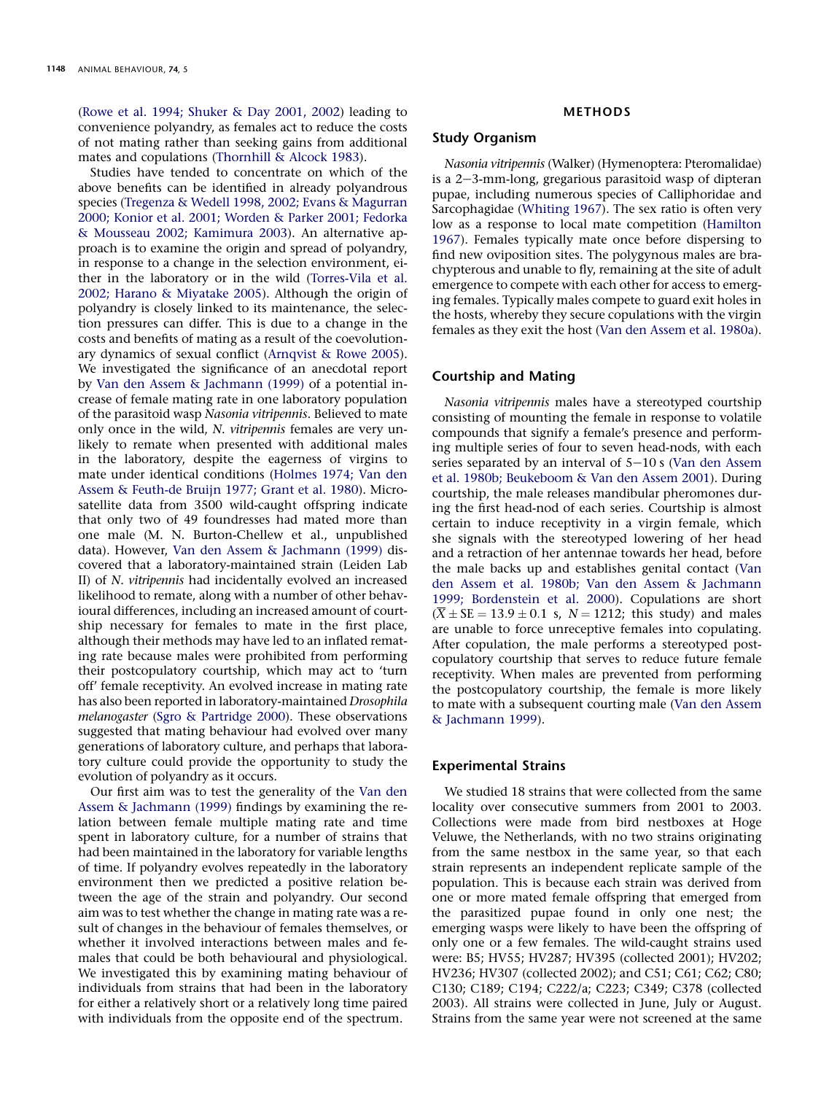([Rowe et al. 1994; Shuker & Day 2001, 2002\)](#page-7-0) leading to convenience polyandry, as females act to reduce the costs of not mating rather than seeking gains from additional mates and copulations ([Thornhill & Alcock 1983\)](#page-7-0).

Studies have tended to concentrate on which of the above benefits can be identified in already polyandrous species [\(Tregenza & Wedell 1998, 2002; Evans & Magurran](#page-7-0) [2000; Konior et al. 2001; Worden & Parker 2001; Fedorka](#page-7-0) [& Mousseau 2002; Kamimura 2003\)](#page-7-0). An alternative approach is to examine the origin and spread of polyandry, in response to a change in the selection environment, either in the laboratory or in the wild [\(Torres-Vila et al.](#page-7-0) [2002; Harano & Miyatake 2005](#page-7-0)). Although the origin of polyandry is closely linked to its maintenance, the selection pressures can differ. This is due to a change in the costs and benefits of mating as a result of the coevolutionary dynamics of sexual conflict ([Arnqvist & Rowe 2005](#page-6-0)). We investigated the significance of an anecdotal report by [Van den Assem & Jachmann \(1999\)](#page-7-0) of a potential increase of female mating rate in one laboratory population of the parasitoid wasp Nasonia vitripennis. Believed to mate only once in the wild, N. vitripennis females are very unlikely to remate when presented with additional males in the laboratory, despite the eagerness of virgins to mate under identical conditions ([Holmes 1974; Van den](#page-6-0) [Assem & Feuth-de Bruijn 1977; Grant et al. 1980](#page-6-0)). Microsatellite data from 3500 wild-caught offspring indicate that only two of 49 foundresses had mated more than one male (M. N. Burton-Chellew et al., unpublished data). However, [Van den Assem & Jachmann \(1999\)](#page-7-0) discovered that a laboratory-maintained strain (Leiden Lab II) of N. vitripennis had incidentally evolved an increased likelihood to remate, along with a number of other behavioural differences, including an increased amount of courtship necessary for females to mate in the first place, although their methods may have led to an inflated remating rate because males were prohibited from performing their postcopulatory courtship, which may act to 'turn off' female receptivity. An evolved increase in mating rate has also been reported in laboratory-maintained Drosophila melanogaster ([Sgro & Partridge 2000](#page-7-0)). These observations suggested that mating behaviour had evolved over many generations of laboratory culture, and perhaps that laboratory culture could provide the opportunity to study the evolution of polyandry as it occurs.

Our first aim was to test the generality of the [Van den](#page-7-0) [Assem & Jachmann \(1999\)](#page-7-0) findings by examining the relation between female multiple mating rate and time spent in laboratory culture, for a number of strains that had been maintained in the laboratory for variable lengths of time. If polyandry evolves repeatedly in the laboratory environment then we predicted a positive relation between the age of the strain and polyandry. Our second aim was to test whether the change in mating rate was a result of changes in the behaviour of females themselves, or whether it involved interactions between males and females that could be both behavioural and physiological. We investigated this by examining mating behaviour of individuals from strains that had been in the laboratory for either a relatively short or a relatively long time paired with individuals from the opposite end of the spectrum.

#### METHODS

# Study Organism

Nasonia vitripennis (Walker) (Hymenoptera: Pteromalidae) is a  $2-3$ -mm-long, gregarious parasitoid wasp of dipteran pupae, including numerous species of Calliphoridae and Sarcophagidae ([Whiting 1967\)](#page-7-0). The sex ratio is often very low as a response to local mate competition ([Hamilton](#page-6-0) [1967](#page-6-0)). Females typically mate once before dispersing to find new oviposition sites. The polygynous males are brachypterous and unable to fly, remaining at the site of adult emergence to compete with each other for access to emerging females. Typically males compete to guard exit holes in the hosts, whereby they secure copulations with the virgin females as they exit the host [\(Van den Assem et al. 1980a](#page-7-0)).

# Courtship and Mating

Nasonia vitripennis males have a stereotyped courtship consisting of mounting the female in response to volatile compounds that signify a female's presence and performing multiple series of four to seven head-nods, with each series separated by an interval of  $5-10$  s [\(Van den Assem](#page-7-0) [et al. 1980b; Beukeboom & Van den Assem 2001](#page-7-0)). During courtship, the male releases mandibular pheromones during the first head-nod of each series. Courtship is almost certain to induce receptivity in a virgin female, which she signals with the stereotyped lowering of her head and a retraction of her antennae towards her head, before the male backs up and establishes genital contact [\(Van](#page-7-0) [den Assem et al. 1980b; Van den Assem & Jachmann](#page-7-0) [1999; Bordenstein et al. 2000](#page-7-0)). Copulations are short  $(X \pm SE = 13.9 \pm 0.1$  s,  $N = 1212$ ; this study) and males are unable to force unreceptive females into copulating. After copulation, the male performs a stereotyped postcopulatory courtship that serves to reduce future female receptivity. When males are prevented from performing the postcopulatory courtship, the female is more likely to mate with a subsequent courting male [\(Van den Assem](#page-7-0) [& Jachmann 1999\)](#page-7-0).

## Experimental Strains

We studied 18 strains that were collected from the same locality over consecutive summers from 2001 to 2003. Collections were made from bird nestboxes at Hoge Veluwe, the Netherlands, with no two strains originating from the same nestbox in the same year, so that each strain represents an independent replicate sample of the population. This is because each strain was derived from one or more mated female offspring that emerged from the parasitized pupae found in only one nest; the emerging wasps were likely to have been the offspring of only one or a few females. The wild-caught strains used were: B5; HV55; HV287; HV395 (collected 2001); HV202; HV236; HV307 (collected 2002); and C51; C61; C62; C80; C130; C189; C194; C222/a; C223; C349; C378 (collected 2003). All strains were collected in June, July or August. Strains from the same year were not screened at the same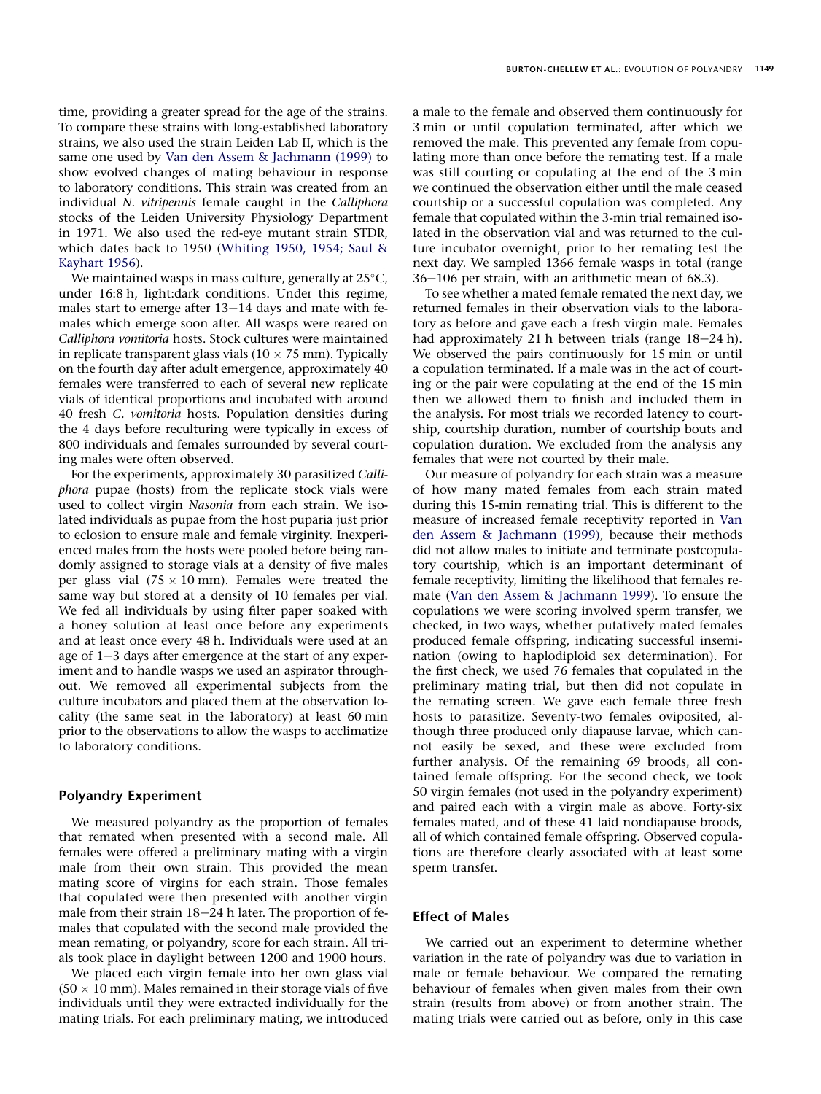time, providing a greater spread for the age of the strains. To compare these strains with long-established laboratory strains, we also used the strain Leiden Lab II, which is the same one used by [Van den Assem & Jachmann \(1999\)](#page-7-0) to show evolved changes of mating behaviour in response to laboratory conditions. This strain was created from an individual N. vitripennis female caught in the Calliphora stocks of the Leiden University Physiology Department in 1971. We also used the red-eye mutant strain STDR, which dates back to 1950 [\(Whiting 1950, 1954; Saul &](#page-7-0) [Kayhart 1956](#page-7-0)).

We maintained wasps in mass culture, generally at  $25^{\circ}$ C, under 16:8 h, light:dark conditions. Under this regime, males start to emerge after  $13-14$  days and mate with females which emerge soon after. All wasps were reared on Calliphora vomitoria hosts. Stock cultures were maintained in replicate transparent glass vials ( $10 \times 75$  mm). Typically on the fourth day after adult emergence, approximately 40 females were transferred to each of several new replicate vials of identical proportions and incubated with around 40 fresh C. vomitoria hosts. Population densities during the 4 days before reculturing were typically in excess of 800 individuals and females surrounded by several courting males were often observed.

For the experiments, approximately 30 parasitized Calliphora pupae (hosts) from the replicate stock vials were used to collect virgin Nasonia from each strain. We isolated individuals as pupae from the host puparia just prior to eclosion to ensure male and female virginity. Inexperienced males from the hosts were pooled before being randomly assigned to storage vials at a density of five males per glass vial  $(75 \times 10 \text{ mm})$ . Females were treated the same way but stored at a density of 10 females per vial. We fed all individuals by using filter paper soaked with a honey solution at least once before any experiments and at least once every 48 h. Individuals were used at an age of  $1-3$  days after emergence at the start of any experiment and to handle wasps we used an aspirator throughout. We removed all experimental subjects from the culture incubators and placed them at the observation locality (the same seat in the laboratory) at least 60 min prior to the observations to allow the wasps to acclimatize to laboratory conditions.

## Polyandry Experiment

We measured polyandry as the proportion of females that remated when presented with a second male. All females were offered a preliminary mating with a virgin male from their own strain. This provided the mean mating score of virgins for each strain. Those females that copulated were then presented with another virgin male from their strain  $18-24$  h later. The proportion of females that copulated with the second male provided the mean remating, or polyandry, score for each strain. All trials took place in daylight between 1200 and 1900 hours.

We placed each virgin female into her own glass vial  $(50 \times 10 \text{ mm})$ . Males remained in their storage vials of five individuals until they were extracted individually for the mating trials. For each preliminary mating, we introduced

a male to the female and observed them continuously for 3 min or until copulation terminated, after which we removed the male. This prevented any female from copulating more than once before the remating test. If a male was still courting or copulating at the end of the 3 min we continued the observation either until the male ceased courtship or a successful copulation was completed. Any female that copulated within the 3-min trial remained isolated in the observation vial and was returned to the culture incubator overnight, prior to her remating test the next day. We sampled 1366 female wasps in total (range  $36-106$  per strain, with an arithmetic mean of 68.3).

To see whether a mated female remated the next day, we returned females in their observation vials to the laboratory as before and gave each a fresh virgin male. Females had approximately 21 h between trials (range  $18-24$  h). We observed the pairs continuously for 15 min or until a copulation terminated. If a male was in the act of courting or the pair were copulating at the end of the 15 min then we allowed them to finish and included them in the analysis. For most trials we recorded latency to courtship, courtship duration, number of courtship bouts and copulation duration. We excluded from the analysis any females that were not courted by their male.

Our measure of polyandry for each strain was a measure of how many mated females from each strain mated during this 15-min remating trial. This is different to the measure of increased female receptivity reported in [Van](#page-7-0) [den Assem & Jachmann \(1999\)](#page-7-0), because their methods did not allow males to initiate and terminate postcopulatory courtship, which is an important determinant of female receptivity, limiting the likelihood that females remate ([Van den Assem & Jachmann 1999](#page-7-0)). To ensure the copulations we were scoring involved sperm transfer, we checked, in two ways, whether putatively mated females produced female offspring, indicating successful insemination (owing to haplodiploid sex determination). For the first check, we used 76 females that copulated in the preliminary mating trial, but then did not copulate in the remating screen. We gave each female three fresh hosts to parasitize. Seventy-two females oviposited, although three produced only diapause larvae, which cannot easily be sexed, and these were excluded from further analysis. Of the remaining 69 broods, all contained female offspring. For the second check, we took 50 virgin females (not used in the polyandry experiment) and paired each with a virgin male as above. Forty-six females mated, and of these 41 laid nondiapause broods, all of which contained female offspring. Observed copulations are therefore clearly associated with at least some sperm transfer.

# Effect of Males

We carried out an experiment to determine whether variation in the rate of polyandry was due to variation in male or female behaviour. We compared the remating behaviour of females when given males from their own strain (results from above) or from another strain. The mating trials were carried out as before, only in this case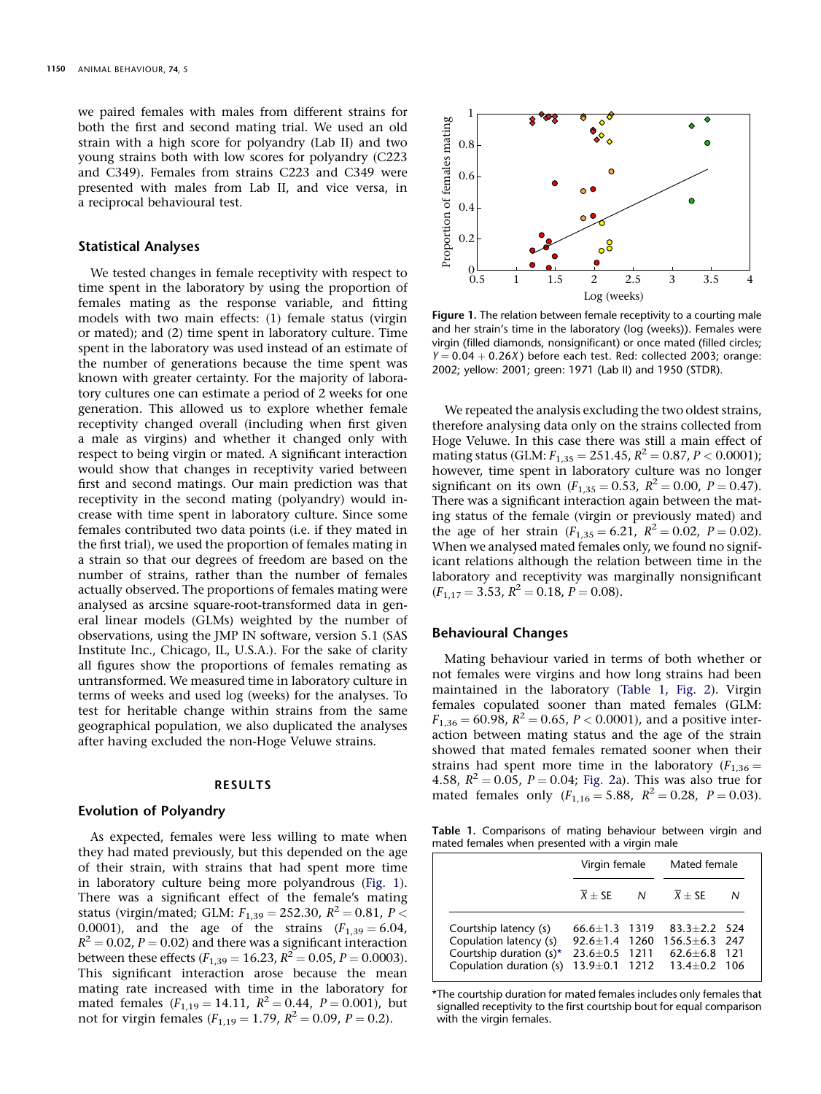we paired females with males from different strains for both the first and second mating trial. We used an old strain with a high score for polyandry (Lab II) and two young strains both with low scores for polyandry (C223 and C349). Females from strains C223 and C349 were presented with males from Lab II, and vice versa, in a reciprocal behavioural test.

## Statistical Analyses

We tested changes in female receptivity with respect to time spent in the laboratory by using the proportion of females mating as the response variable, and fitting models with two main effects: (1) female status (virgin or mated); and (2) time spent in laboratory culture. Time spent in the laboratory was used instead of an estimate of the number of generations because the time spent was known with greater certainty. For the majority of laboratory cultures one can estimate a period of 2 weeks for one generation. This allowed us to explore whether female receptivity changed overall (including when first given a male as virgins) and whether it changed only with respect to being virgin or mated. A significant interaction would show that changes in receptivity varied between first and second matings. Our main prediction was that receptivity in the second mating (polyandry) would increase with time spent in laboratory culture. Since some females contributed two data points (i.e. if they mated in the first trial), we used the proportion of females mating in a strain so that our degrees of freedom are based on the number of strains, rather than the number of females actually observed. The proportions of females mating were analysed as arcsine square-root-transformed data in general linear models (GLMs) weighted by the number of observations, using the JMP IN software, version 5.1 (SAS Institute Inc., Chicago, IL, U.S.A.). For the sake of clarity all figures show the proportions of females remating as untransformed. We measured time in laboratory culture in terms of weeks and used log (weeks) for the analyses. To test for heritable change within strains from the same geographical population, we also duplicated the analyses after having excluded the non-Hoge Veluwe strains.

# RESULTS

## Evolution of Polyandry

As expected, females were less willing to mate when they had mated previously, but this depended on the age of their strain, with strains that had spent more time in laboratory culture being more polyandrous (Fig. 1). There was a significant effect of the female's mating status (virgin/mated; GLM:  $F_{1,39} = 252.30$ ,  $R^2 = 0.81$ ,  $P <$ 0.0001), and the age of the strains  $(F_{1,39} = 6.04,$  $R^2 = 0.02$ ,  $P = 0.02$ ) and there was a significant interaction between these effects ( $F_{1,39} = 16.23$ ,  $R^2 = 0.05$ ,  $P = 0.0003$ ). This significant interaction arose because the mean mating rate increased with time in the laboratory for mated females ( $F_{1,19} = 14.11$ ,  $R^2 = 0.44$ ,  $P = 0.001$ ), but not for virgin females ( $F_{1,19} = 1.79$ ,  $R^2 = 0.09$ ,  $P = 0.2$ ).



Figure 1. The relation between female receptivity to a courting male and her strain's time in the laboratory (log (weeks)). Females were virgin (filled diamonds, nonsignificant) or once mated (filled circles;  $Y = 0.04 + 0.26X$ ) before each test. Red: collected 2003; orange: 2002; yellow: 2001; green: 1971 (Lab II) and 1950 (STDR).

We repeated the analysis excluding the two oldest strains, therefore analysing data only on the strains collected from Hoge Veluwe. In this case there was still a main effect of mating status (GLM:  $F_{1,35} = 251.45$ ,  $R^2 = 0.87$ ,  $P < 0.0001$ ); however, time spent in laboratory culture was no longer significant on its own ( $F_{1,35} = 0.53$ ,  $R^2 = 0.00$ ,  $P = 0.47$ ). There was a significant interaction again between the mating status of the female (virgin or previously mated) and the age of her strain  $(F_{1,35} = 6.21, R^2 = 0.02, P = 0.02)$ . When we analysed mated females only, we found no significant relations although the relation between time in the laboratory and receptivity was marginally nonsignificant  $(F_{1,17} = 3.53, R^2 = 0.18, P = 0.08).$ 

# Behavioural Changes

Mating behaviour varied in terms of both whether or not females were virgins and how long strains had been maintained in the laboratory (Table 1, [Fig. 2\)](#page-4-0). Virgin females copulated sooner than mated females (GLM:  $F_{1,36} = 60.98$ ,  $R^2 = 0.65$ ,  $P < 0.0001$ ), and a positive interaction between mating status and the age of the strain showed that mated females remated sooner when their strains had spent more time in the laboratory ( $F_{1,36}$  = 4.58,  $R^2 = 0.05$ ,  $P = 0.04$ ; [Fig. 2a](#page-4-0)). This was also true for mated females only  $(F_{1,16} = 5.88, R^2 = 0.28, P = 0.03)$ .

Table 1. Comparisons of mating behaviour between virgin and mated females when presented with a virgin male

|                                                                                                          | Virgin female                                                                          |  | Mated female                                                                        |   |
|----------------------------------------------------------------------------------------------------------|----------------------------------------------------------------------------------------|--|-------------------------------------------------------------------------------------|---|
|                                                                                                          | $\overline{X} + \overline{S}F$ N                                                       |  | $\overline{X}$ + SF                                                                 | N |
| Courtship latency (s)<br>Copulation latency (s)<br>Courtship duration $(s)^*$<br>Copulation duration (s) | $66.6 + 1.3$ 1319<br>$92.6 \pm 1.4$ 1260<br>$23.6 \pm 0.5$ 1211<br>$13.9 \pm 0.1$ 1212 |  | $83.3 + 2.2$ 524<br>$156.5 \pm 6.3$ 247<br>$62.6 \pm 6.8$ 121<br>$13.4 \pm 0.2$ 106 |   |

\*The courtship duration for mated females includes only females that signalled receptivity to the first courtship bout for equal comparison with the virgin females.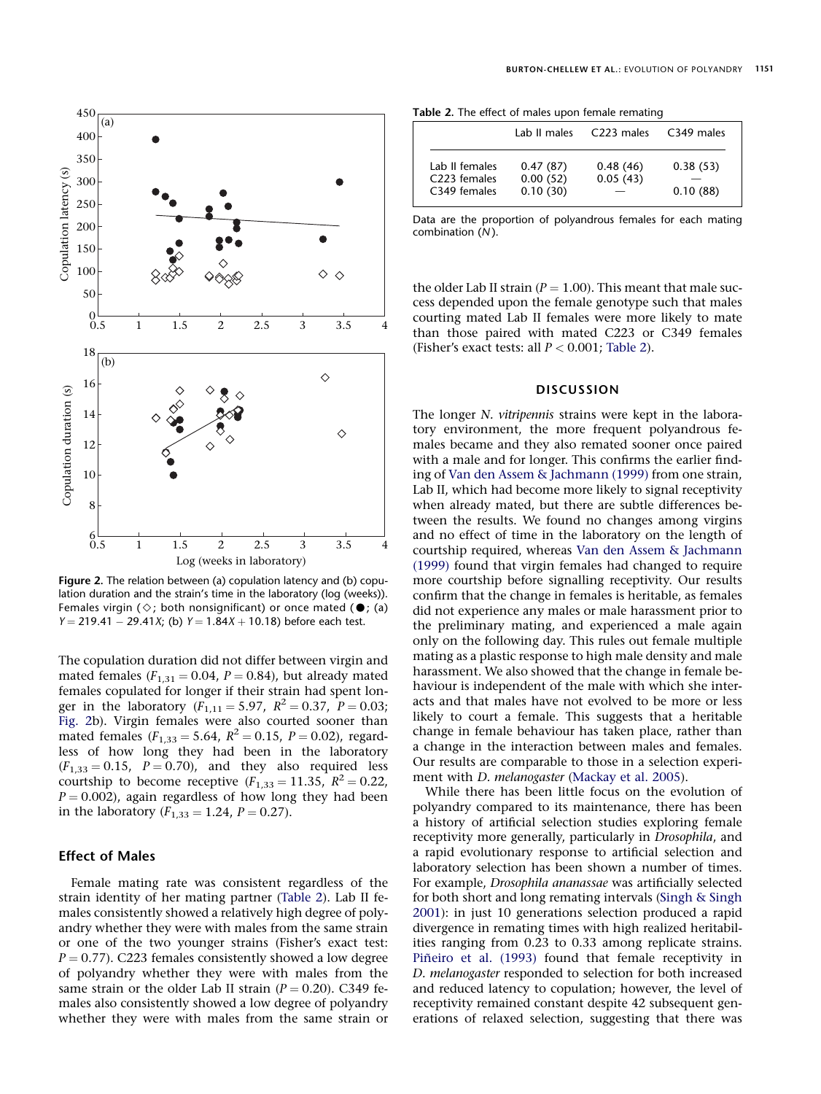<span id="page-4-0"></span>

Figure 2. The relation between (a) copulation latency and (b) copulation duration and the strain's time in the laboratory (log (weeks)). Females virgin ( $\diamond$ ; both nonsignificant) or once mated ( $\bullet$ ; (a)  $Y = 219.41 - 29.41X$ ; (b)  $Y = 1.84X + 10.18$ ) before each test.

The copulation duration did not differ between virgin and mated females  $(F_{1,31} = 0.04, P = 0.84)$ , but already mated females copulated for longer if their strain had spent longer in the laboratory  $(F_{1,11} = 5.97, R^2 = 0.37, P = 0.03;$ Fig. 2b). Virgin females were also courted sooner than mated females ( $F_{1,33} = 5.64$ ,  $R^2 = 0.15$ ,  $P = 0.02$ ), regardless of how long they had been in the laboratory  $(F<sub>1,33</sub> = 0.15, P = 0.70)$ , and they also required less courtship to become receptive  $(F_{1,33} = 11.35, R^2 = 0.22,$  $P = 0.002$ ), again regardless of how long they had been in the laboratory ( $F_{1,33} = 1.24$ ,  $P = 0.27$ ).

# Effect of Males

Female mating rate was consistent regardless of the strain identity of her mating partner (Table 2). Lab II females consistently showed a relatively high degree of polyandry whether they were with males from the same strain or one of the two younger strains (Fisher's exact test:  $P = 0.77$ ). C223 females consistently showed a low degree of polyandry whether they were with males from the same strain or the older Lab II strain ( $P = 0.20$ ). C349 females also consistently showed a low degree of polyandry whether they were with males from the same strain or

Table 2. The effect of males upon female remating

|                                                | Lab II males                     | C <sub>223</sub> males | C349 males           |
|------------------------------------------------|----------------------------------|------------------------|----------------------|
| Lab II females<br>C223 females<br>C349 females | 0.47(87)<br>0.00(52)<br>0.10(30) | 0.48(46)<br>0.05(43)   | 0.38(53)<br>0.10(88) |

Data are the proportion of polyandrous females for each mating combination  $(N)$ .

the older Lab II strain ( $P = 1.00$ ). This meant that male success depended upon the female genotype such that males courting mated Lab II females were more likely to mate than those paired with mated C223 or C349 females (Fisher's exact tests: all  $P < 0.001$ ; Table 2).

#### **DISCUSSION**

The longer N. vitripennis strains were kept in the laboratory environment, the more frequent polyandrous females became and they also remated sooner once paired with a male and for longer. This confirms the earlier finding of [Van den Assem & Jachmann \(1999\)](#page-7-0) from one strain, Lab II, which had become more likely to signal receptivity when already mated, but there are subtle differences between the results. We found no changes among virgins and no effect of time in the laboratory on the length of courtship required, whereas [Van den Assem & Jachmann](#page-7-0) [\(1999\)](#page-7-0) found that virgin females had changed to require more courtship before signalling receptivity. Our results confirm that the change in females is heritable, as females did not experience any males or male harassment prior to the preliminary mating, and experienced a male again only on the following day. This rules out female multiple mating as a plastic response to high male density and male harassment. We also showed that the change in female behaviour is independent of the male with which she interacts and that males have not evolved to be more or less likely to court a female. This suggests that a heritable change in female behaviour has taken place, rather than a change in the interaction between males and females. Our results are comparable to those in a selection experiment with *D. melanogaster* [\(Mackay et al. 2005\)](#page-6-0).

While there has been little focus on the evolution of polyandry compared to its maintenance, there has been a history of artificial selection studies exploring female receptivity more generally, particularly in Drosophila, and a rapid evolutionary response to artificial selection and laboratory selection has been shown a number of times. For example, Drosophila ananassae was artificially selected for both short and long remating intervals [\(Singh & Singh](#page-7-0) [2001](#page-7-0)): in just 10 generations selection produced a rapid divergence in remating times with high realized heritabilities ranging from 0.23 to 0.33 among replicate strains. Piñeiro et al. (1993) found that female receptivity in D. melanogaster responded to selection for both increased and reduced latency to copulation; however, the level of receptivity remained constant despite 42 subsequent generations of relaxed selection, suggesting that there was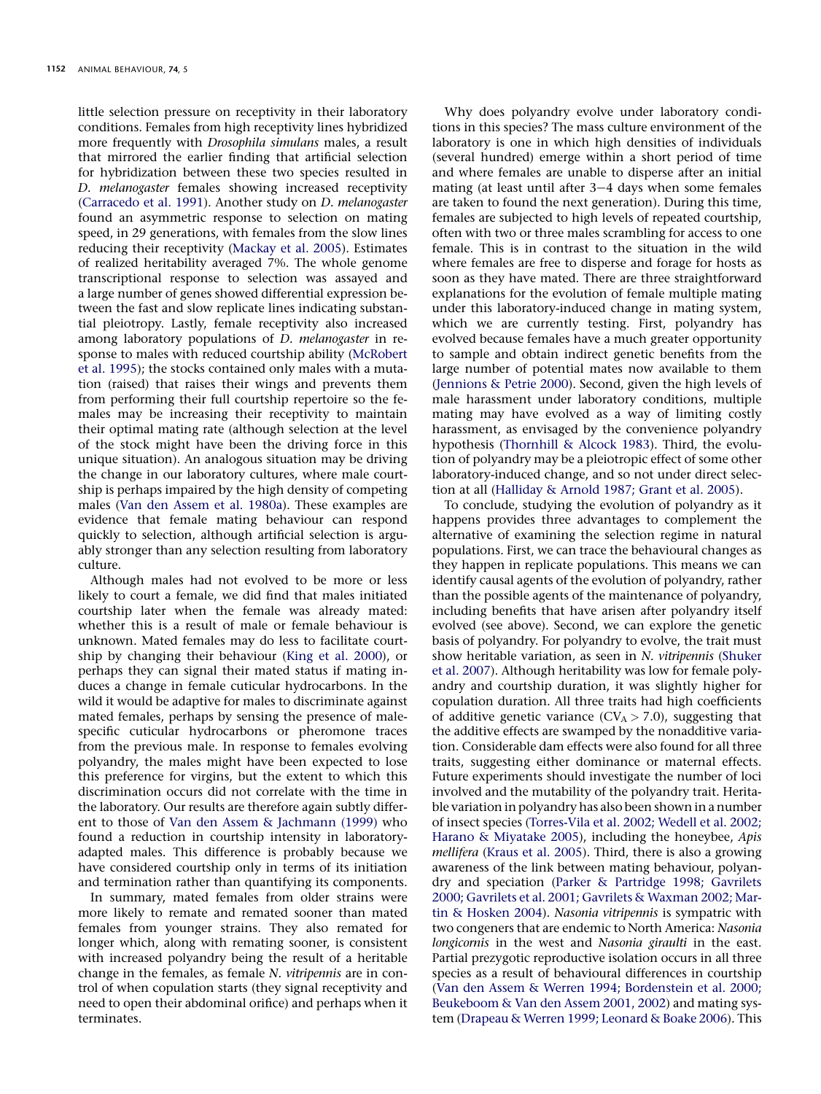little selection pressure on receptivity in their laboratory conditions. Females from high receptivity lines hybridized more frequently with Drosophila simulans males, a result that mirrored the earlier finding that artificial selection for hybridization between these two species resulted in D. melanogaster females showing increased receptivity ([Carracedo et al. 1991\)](#page-6-0). Another study on D. melanogaster found an asymmetric response to selection on mating speed, in 29 generations, with females from the slow lines reducing their receptivity ([Mackay et al. 2005\)](#page-6-0). Estimates of realized heritability averaged 7%. The whole genome transcriptional response to selection was assayed and a large number of genes showed differential expression between the fast and slow replicate lines indicating substantial pleiotropy. Lastly, female receptivity also increased among laboratory populations of D. melanogaster in response to males with reduced courtship ability ([McRobert](#page-6-0) [et al. 1995\)](#page-6-0); the stocks contained only males with a mutation (raised) that raises their wings and prevents them from performing their full courtship repertoire so the females may be increasing their receptivity to maintain their optimal mating rate (although selection at the level of the stock might have been the driving force in this unique situation). An analogous situation may be driving the change in our laboratory cultures, where male courtship is perhaps impaired by the high density of competing males ([Van den Assem et al. 1980a](#page-7-0)). These examples are evidence that female mating behaviour can respond quickly to selection, although artificial selection is arguably stronger than any selection resulting from laboratory culture.

Although males had not evolved to be more or less likely to court a female, we did find that males initiated courtship later when the female was already mated: whether this is a result of male or female behaviour is unknown. Mated females may do less to facilitate courtship by changing their behaviour ([King et al. 2000](#page-6-0)), or perhaps they can signal their mated status if mating induces a change in female cuticular hydrocarbons. In the wild it would be adaptive for males to discriminate against mated females, perhaps by sensing the presence of malespecific cuticular hydrocarbons or pheromone traces from the previous male. In response to females evolving polyandry, the males might have been expected to lose this preference for virgins, but the extent to which this discrimination occurs did not correlate with the time in the laboratory. Our results are therefore again subtly different to those of [Van den Assem & Jachmann \(1999\)](#page-7-0) who found a reduction in courtship intensity in laboratoryadapted males. This difference is probably because we have considered courtship only in terms of its initiation and termination rather than quantifying its components.

In summary, mated females from older strains were more likely to remate and remated sooner than mated females from younger strains. They also remated for longer which, along with remating sooner, is consistent with increased polyandry being the result of a heritable change in the females, as female N. vitripennis are in control of when copulation starts (they signal receptivity and need to open their abdominal orifice) and perhaps when it terminates.

Why does polyandry evolve under laboratory conditions in this species? The mass culture environment of the laboratory is one in which high densities of individuals (several hundred) emerge within a short period of time and where females are unable to disperse after an initial mating (at least until after  $3-4$  days when some females are taken to found the next generation). During this time, females are subjected to high levels of repeated courtship, often with two or three males scrambling for access to one female. This is in contrast to the situation in the wild where females are free to disperse and forage for hosts as soon as they have mated. There are three straightforward explanations for the evolution of female multiple mating under this laboratory-induced change in mating system, which we are currently testing. First, polyandry has evolved because females have a much greater opportunity to sample and obtain indirect genetic benefits from the large number of potential mates now available to them ([Jennions & Petrie 2000](#page-6-0)). Second, given the high levels of male harassment under laboratory conditions, multiple mating may have evolved as a way of limiting costly harassment, as envisaged by the convenience polyandry hypothesis [\(Thornhill & Alcock 1983\)](#page-7-0). Third, the evolution of polyandry may be a pleiotropic effect of some other laboratory-induced change, and so not under direct selection at all ([Halliday & Arnold 1987; Grant et al. 2005\)](#page-6-0).

To conclude, studying the evolution of polyandry as it happens provides three advantages to complement the alternative of examining the selection regime in natural populations. First, we can trace the behavioural changes as they happen in replicate populations. This means we can identify causal agents of the evolution of polyandry, rather than the possible agents of the maintenance of polyandry, including benefits that have arisen after polyandry itself evolved (see above). Second, we can explore the genetic basis of polyandry. For polyandry to evolve, the trait must show heritable variation, as seen in N. vitripennis [\(Shuker](#page-7-0) [et al. 2007](#page-7-0)). Although heritability was low for female polyandry and courtship duration, it was slightly higher for copulation duration. All three traits had high coefficients of additive genetic variance  $(CV_A > 7.0)$ , suggesting that the additive effects are swamped by the nonadditive variation. Considerable dam effects were also found for all three traits, suggesting either dominance or maternal effects. Future experiments should investigate the number of loci involved and the mutability of the polyandry trait. Heritable variation in polyandry has also been shown in a number of insect species [\(Torres-Vila et al. 2002; Wedell et al. 2002;](#page-7-0) [Harano & Miyatake 2005](#page-7-0)), including the honeybee, Apis mellifera [\(Kraus et al. 2005\)](#page-6-0). Third, there is also a growing awareness of the link between mating behaviour, polyandry and speciation [\(Parker & Partridge 1998; Gavrilets](#page-7-0) [2000; Gavrilets et al. 2001; Gavrilets & Waxman 2002; Mar](#page-7-0)[tin & Hosken 2004\)](#page-7-0). Nasonia vitripennis is sympatric with two congeners that are endemic to North America: Nasonia longicornis in the west and Nasonia giraulti in the east. Partial prezygotic reproductive isolation occurs in all three species as a result of behavioural differences in courtship ([Van den Assem & Werren 1994; Bordenstein et al. 2000;](#page-7-0) [Beukeboom & Van den Assem 2001, 2002](#page-7-0)) and mating system ([Drapeau & Werren 1999; Leonard & Boake 2006\)](#page-6-0). This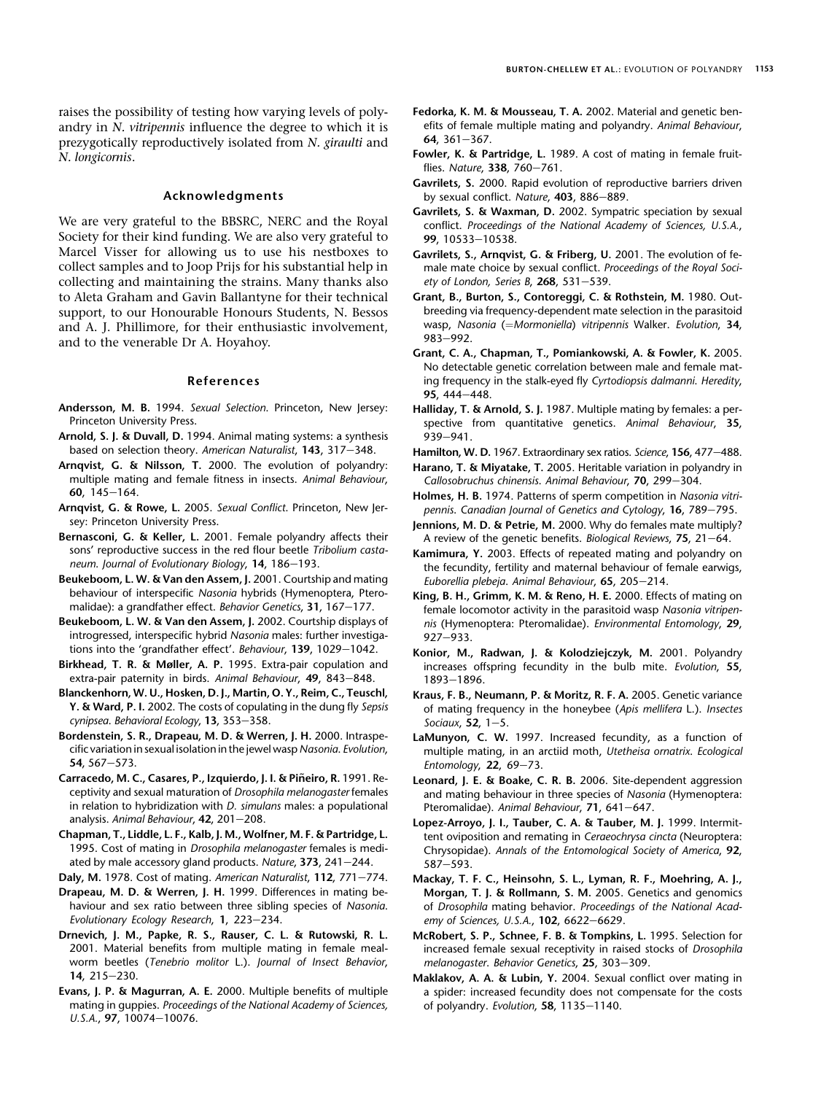<span id="page-6-0"></span>raises the possibility of testing how varying levels of polyandry in N. vitripennis influence the degree to which it is prezygotically reproductively isolated from N. giraulti and N. longicornis.

#### Acknowledgments

We are very grateful to the BBSRC, NERC and the Royal Society for their kind funding. We are also very grateful to Marcel Visser for allowing us to use his nestboxes to collect samples and to Joop Prijs for his substantial help in collecting and maintaining the strains. Many thanks also to Aleta Graham and Gavin Ballantyne for their technical support, to our Honourable Honours Students, N. Bessos and A. J. Phillimore, for their enthusiastic involvement, and to the venerable Dr A. Hoyahoy.

#### References

- Andersson, M. B. 1994. Sexual Selection. Princeton, New Jersey: Princeton University Press.
- Arnold, S. J. & Duvall, D. 1994. Animal mating systems: a synthesis based on selection theory. American Naturalist, 143, 317-348.
- Arnqvist, G. & Nilsson, T. 2000. The evolution of polyandry: multiple mating and female fitness in insects. Animal Behaviour, 60,  $145-164$ .
- Arnqvist, G. & Rowe, L. 2005. Sexual Conflict. Princeton, New Jersey: Princeton University Press.
- Bernasconi, G. & Keller, L. 2001. Female polyandry affects their sons' reproductive success in the red flour beetle Tribolium castaneum. Journal of Evolutionary Biology, 14, 186-193.
- Beukeboom, L. W. & Van den Assem, J. 2001. Courtship and mating behaviour of interspecific Nasonia hybrids (Hymenoptera, Pteromalidae): a grandfather effect. Behavior Genetics, 31, 167-177.
- Beukeboom, L. W. & Van den Assem, J. 2002. Courtship displays of introgressed, interspecific hybrid Nasonia males: further investigations into the 'grandfather effect'. Behaviour, 139, 1029-1042.
- Birkhead, T. R. & Møller, A. P. 1995. Extra-pair copulation and extra-pair paternity in birds. Animal Behaviour, 49, 843-848.
- Blanckenhorn, W. U., Hosken, D. J., Martin, O. Y., Reim, C., Teuschl, Y. & Ward, P. I. 2002. The costs of copulating in the dung fly Sepsis cynipsea. Behavioral Ecology, 13, 353-358.
- Bordenstein, S. R., Drapeau, M. D. & Werren, J. H. 2000. Intraspecific variation in sexual isolation in the jewel wasp Nasonia. Evolution,  $54, 567 - 573.$
- Carracedo, M. C., Casares, P., Izquierdo, J. I. & Piñeiro, R. 1991. Receptivity and sexual maturation of Drosophila melanogaster females in relation to hybridization with D. simulans males: a populational analysis. Animal Behaviour,  $42$ ,  $201-208$ .
- Chapman, T., Liddle, L. F., Kalb, J. M.,Wolfner,M. F. & Partridge, L. 1995. Cost of mating in Drosophila melanogaster females is mediated by male accessory gland products. Nature, 373, 241-244.
- Daly, M. 1978. Cost of mating. American Naturalist, 112, 771-774.
- Drapeau, M. D. & Werren, J. H. 1999. Differences in mating behaviour and sex ratio between three sibling species of Nasonia. Evolutionary Ecology Research, 1, 223-234.
- Drnevich, J. M., Papke, R. S., Rauser, C. L. & Rutowski, R. L. 2001. Material benefits from multiple mating in female mealworm beetles (Tenebrio molitor L.). Journal of Insect Behavior, 14,  $215 - 230$ .
- Evans, J. P. & Magurran, A. E. 2000. Multiple benefits of multiple mating in guppies. Proceedings of the National Academy of Sciences,  $U.S.A.,$  97, 10074-10076.
- Fedorka, K. M. & Mousseau, T. A. 2002. Material and genetic benefits of female multiple mating and polyandry. Animal Behaviour, 64,  $361 - 367$ .
- Fowler, K. & Partridge, L. 1989. A cost of mating in female fruitflies. Nature, 338, 760-761.
- Gavrilets, S. 2000. Rapid evolution of reproductive barriers driven by sexual conflict. Nature, 403, 886-889.
- Gavrilets, S. & Waxman, D. 2002. Sympatric speciation by sexual conflict. Proceedings of the National Academy of Sciences, U.S.A., 99, 10533-10538.
- Gavrilets, S., Arnqvist, G. & Friberg, U. 2001. The evolution of female mate choice by sexual conflict. Proceedings of the Royal Society of London, Series B,  $268$ ,  $531-539$ .
- Grant, B., Burton, S., Contoreggi, C. & Rothstein, M. 1980. Outbreeding via frequency-dependent mate selection in the parasitoid wasp, Nasonia (=Mormoniella) vitripennis Walker. Evolution, 34, 983-992.
- Grant, C. A., Chapman, T., Pomiankowski, A. & Fowler, K. 2005. No detectable genetic correlation between male and female mating frequency in the stalk-eyed fly Cyrtodiopsis dalmanni. Heredity,  $95.444 - 448.$
- Halliday, T. & Arnold, S. J. 1987. Multiple mating by females: a perspective from quantitative genetics. Animal Behaviour, 35, 939-941.
- Hamilton, W. D. 1967. Extraordinary sex ratios. Science, 156, 477-488.
- Harano, T. & Miyatake, T. 2005. Heritable variation in polyandry in Callosobruchus chinensis. Animal Behaviour, 70, 299-304.
- Holmes, H. B. 1974. Patterns of sperm competition in Nasonia vitripennis. Canadian Journal of Genetics and Cytology, 16, 789-795.
- Jennions, M. D. & Petrie, M. 2000. Why do females mate multiply? A review of the genetic benefits. Biological Reviews,  $75$ ,  $21-64$ .
- Kamimura, Y. 2003. Effects of repeated mating and polyandry on the fecundity, fertility and maternal behaviour of female earwigs, Euborellia plebeja. Animal Behaviour, 65, 205-214.
- King, B. H., Grimm, K. M. & Reno, H. E. 2000. Effects of mating on female locomotor activity in the parasitoid wasp Nasonia vitripennis (Hymenoptera: Pteromalidae). Environmental Entomology, 29,  $927 - 933.$
- Konior, M., Radwan, J. & Kolodziejczyk, M. 2001. Polyandry increases offspring fecundity in the bulb mite. Evolution, 55, 1893-1896.
- Kraus, F. B., Neumann, P. & Moritz, R. F. A. 2005. Genetic variance of mating frequency in the honeybee (Apis mellifera L.). Insectes Sociaux,  $52$ ,  $1-5$ .
- LaMunyon, C. W. 1997. Increased fecundity, as a function of multiple mating, in an arctiid moth, Utetheisa ornatrix. Ecological Entomology,  $22, 69-73$ .
- Leonard, J. E. & Boake, C. R. B. 2006. Site-dependent aggression and mating behaviour in three species of Nasonia (Hymenoptera: Pteromalidae). Animal Behaviour, 71, 641-647.
- Lopez-Arroyo, J. I., Tauber, C. A. & Tauber, M. J. 1999. Intermittent oviposition and remating in Ceraeochrysa cincta (Neuroptera: Chrysopidae). Annals of the Entomological Society of America, 92, 587-593.
- Mackay, T. F. C., Heinsohn, S. L., Lyman, R. F., Moehring, A. J., Morgan, T. J. & Rollmann, S. M. 2005. Genetics and genomics of Drosophila mating behavior. Proceedings of the National Academy of Sciences, U.S.A., 102, 6622-6629.
- McRobert, S. P., Schnee, F. B. & Tompkins, L. 1995. Selection for increased female sexual receptivity in raised stocks of Drosophila melanogaster. Behavior Genetics, 25, 303-309.
- Maklakov, A. A. & Lubin, Y. 2004. Sexual conflict over mating in a spider: increased fecundity does not compensate for the costs of polyandry. Evolution,  $58$ ,  $1135-1140$ .